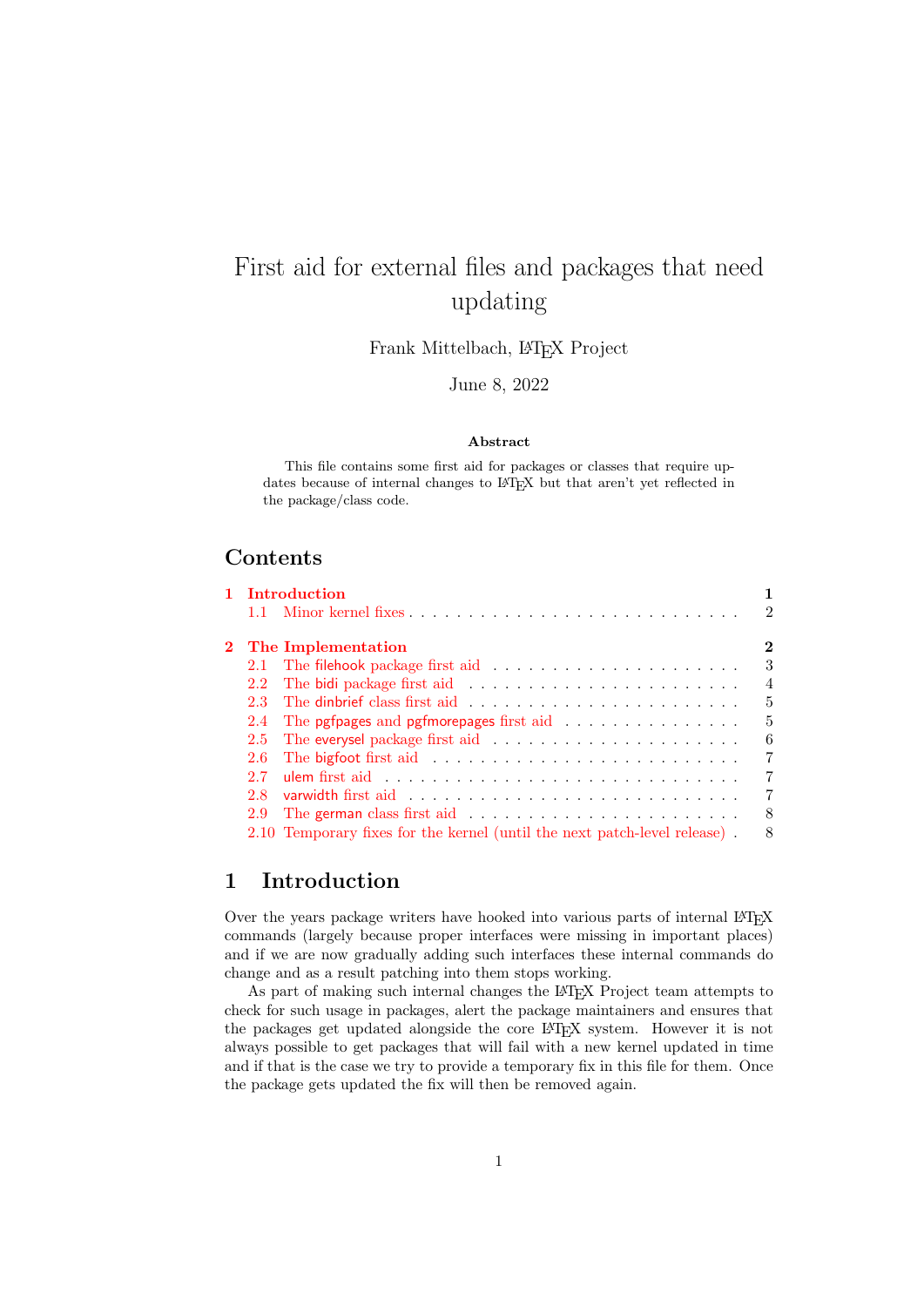# First aid for external files and packages that need updating

Frank Mittelbach, L<sup>AT</sup>EX Project

June 8, 2022

#### Abstract

This file contains some first aid for packages or classes that require updates because of internal changes to LATEX but that aren't yet reflected in the package/class code.

## Contents

|     | 1 Introduction                                                            |                |
|-----|---------------------------------------------------------------------------|----------------|
|     |                                                                           | $\mathcal{D}$  |
|     | 2 The Implementation                                                      | $\overline{2}$ |
|     |                                                                           | 3              |
| 2.2 |                                                                           | $\overline{4}$ |
| 2.3 |                                                                           | $\frac{5}{2}$  |
|     |                                                                           | -5             |
| 2.5 |                                                                           | 6              |
| 2.6 |                                                                           | 7              |
| 2.7 |                                                                           | $\overline{7}$ |
| 2.8 |                                                                           | 7              |
| 2.9 |                                                                           | 8              |
|     | 2.10 Temporary fixes for the kernel (until the next patch-level release). | 8              |

## <span id="page-0-0"></span>1 Introduction

Over the years package writers have hooked into various parts of internal LAT<sub>E</sub>X commands (largely because proper interfaces were missing in important places) and if we are now gradually adding such interfaces these internal commands do change and as a result patching into them stops working.

As part of making such internal changes the L<sup>AT</sup>EX Project team attempts to check for such usage in packages, alert the package maintainers and ensures that the packages get updated alongside the core LAT<sub>EX</sub> system. However it is not always possible to get packages that will fail with a new kernel updated in time and if that is the case we try to provide a temporary fix in this file for them. Once the package gets updated the fix will then be removed again.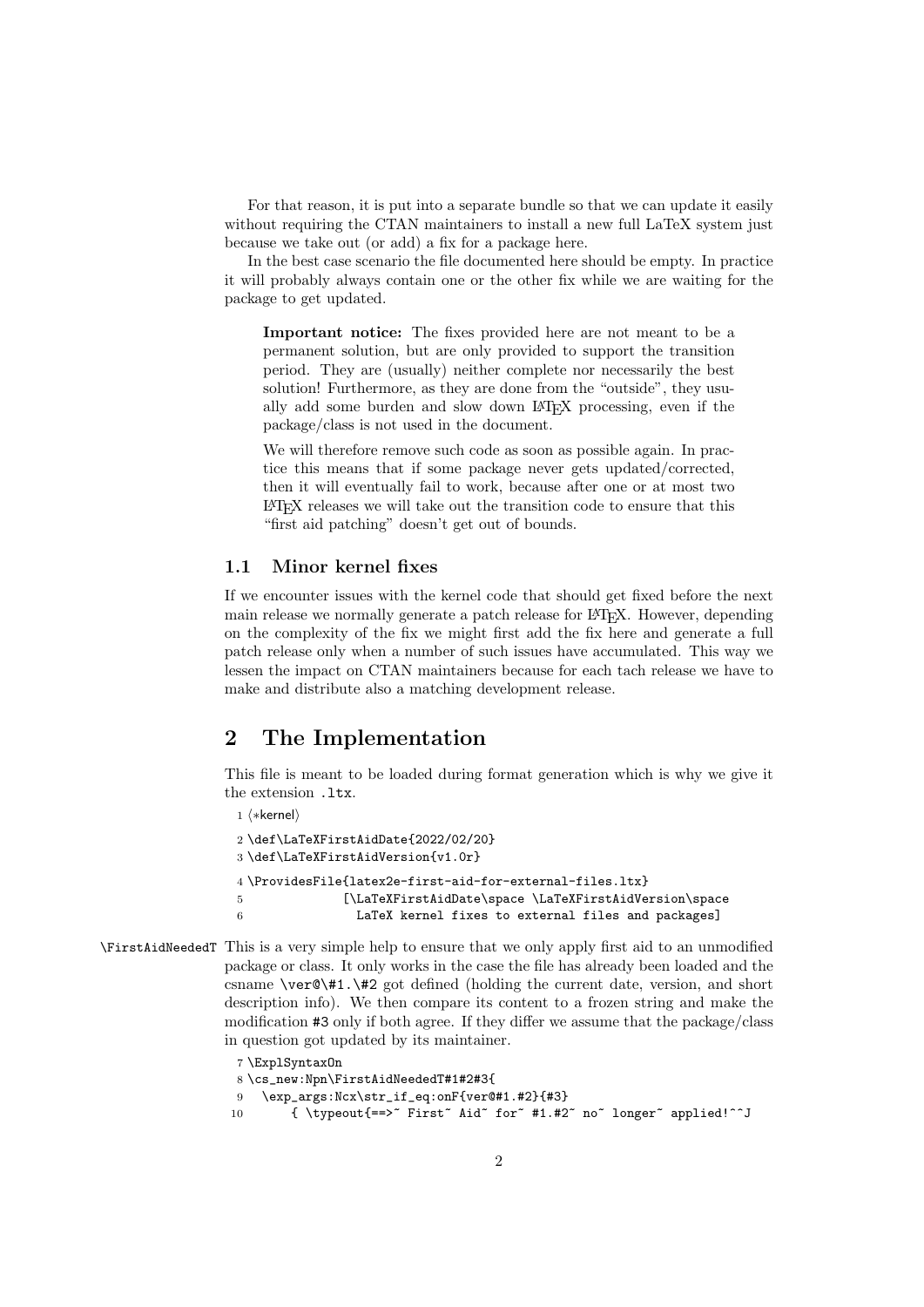For that reason, it is put into a separate bundle so that we can update it easily without requiring the CTAN maintainers to install a new full LaTeX system just because we take out (or add) a fix for a package here.

In the best case scenario the file documented here should be empty. In practice it will probably always contain one or the other fix while we are waiting for the package to get updated.

Important notice: The fixes provided here are not meant to be a permanent solution, but are only provided to support the transition period. They are (usually) neither complete nor necessarily the best solution! Furthermore, as they are done from the "outside", they usually add some burden and slow down LATEX processing, even if the package/class is not used in the document.

We will therefore remove such code as soon as possible again. In practice this means that if some package never gets updated/corrected, then it will eventually fail to work, because after one or at most two LATEX releases we will take out the transition code to ensure that this "first aid patching" doesn't get out of bounds.

#### <span id="page-1-0"></span>1.1 Minor kernel fixes

If we encounter issues with the kernel code that should get fixed before the next main release we normally generate a patch release for LAT<sub>EX</sub>. However, depending on the complexity of the fix we might first add the fix here and generate a full patch release only when a number of such issues have accumulated. This way we lessen the impact on CTAN maintainers because for each tach release we have to make and distribute also a matching development release.

## <span id="page-1-1"></span>2 The Implementation

This file is meant to be loaded during format generation which is why we give it the extension .ltx.

```
1 ⟨∗kernel⟩
```

```
2 \def\LaTeXFirstAidDate{2022/02/20}
3 \def\LaTeXFirstAidVersion{v1.0r}
4 \ProvidesFile{latex2e-first-aid-for-external-files.ltx}
5 [\LaTeXFirstAidDate\space \LaTeXFirstAidVersion\space
6 LaTeX kernel fixes to external files and packages]
```
<span id="page-1-7"></span>\FirstAidNeededT This is a very simple help to ensure that we only apply first aid to an unmodified package or class. It only works in the case the file has already been loaded and the csname \ver@\#1.\#2 got defined (holding the current date, version, and short description info). We then compare its content to a frozen string and make the modification #3 only if both agree. If they differ we assume that the package/class in question got updated by its maintainer.

```
7 \ExplSyntaxOn
8 \cs_new:Npn\FirstAidNeededT#1#2#3{
9 \exp_args:Ncx\str_if_eq:onF{ver@#1.#2}{#3}
10 { \typeout{==>" First" Aid" for" #1.#2" no" longer" applied!^^J
```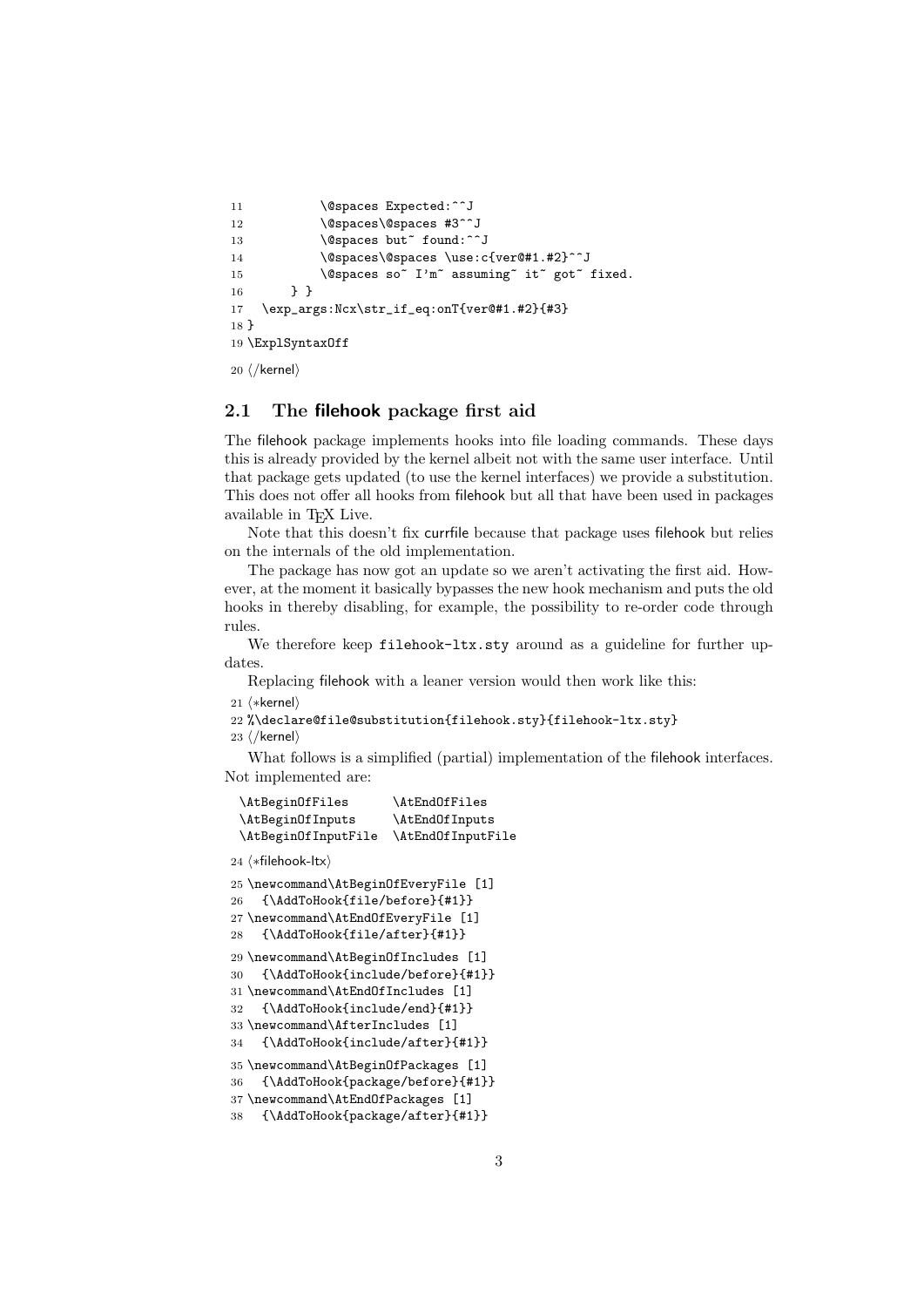```
11 \@spaces Expected:^^J
12 \@spaces\@spaces #3^^J
13 \@spaces but~ found:^^J
14 \@spaces\@spaces \use:c{ver@#1.#2}^^J
15 \@spaces so<sup>~</sup> I'm<sup>~</sup> assuming<sup>~</sup> it<sup>~</sup> got<sup>~</sup> fixed.
16 \rightarrow \}17 \exp_args:Ncx\str_if_eq:onT{ver@#1.#2}{#3}
18 }
19 \ExplSyntaxOff
```

```
20 ⟨/kernel⟩
```
### <span id="page-2-0"></span>2.1 The filehook package first aid

The filehook package implements hooks into file loading commands. These days this is already provided by the kernel albeit not with the same user interface. Until that package gets updated (to use the kernel interfaces) we provide a substitution. This does not offer all hooks from filehook but all that have been used in packages available in TEX Live.

Note that this doesn't fix currfile because that package uses filehook but relies on the internals of the old implementation.

The package has now got an update so we aren't activating the first aid. However, at the moment it basically bypasses the new hook mechanism and puts the old hooks in thereby disabling, for example, the possibility to re-order code through rules.

We therefore keep filehook-ltx.sty around as a guideline for further updates.

Replacing filehook with a leaner version would then work like this:

21 ⟨∗kernel⟩

```
22 %\declare@file@substitution{filehook.sty}{filehook-ltx.sty}
```
23 ⟨/kernel⟩

What follows is a simplified (partial) implementation of the filehook interfaces. Not implemented are:

```
\AtBeginOfFiles \AtEndOfFiles
 \AtBeginOfInputs \AtEndOfInputs
 \AtBeginOfInputFile \AtEndOfInputFile
24 ⟨∗filehook-ltx⟩
25 \newcommand\AtBeginOfEveryFile [1]
26 {\AddToHook{file/before}{#1}}
27 \newcommand\AtEndOfEveryFile [1]
28 {\AddToHook{file/after}{#1}}
29 \newcommand\AtBeginOfIncludes [1]
30 {\AddToHook{include/before}{#1}}
31 \newcommand\AtEndOfIncludes [1]
32 {\AddToHook{include/end}{#1}}
33 \newcommand\AfterIncludes [1]
34 {\AddToHook{include/after}{#1}}
35 \newcommand\AtBeginOfPackages [1]
36 {\AddToHook{package/before}{#1}}
37 \newcommand\AtEndOfPackages [1]
38 {\AddToHook{package/after}{#1}}
```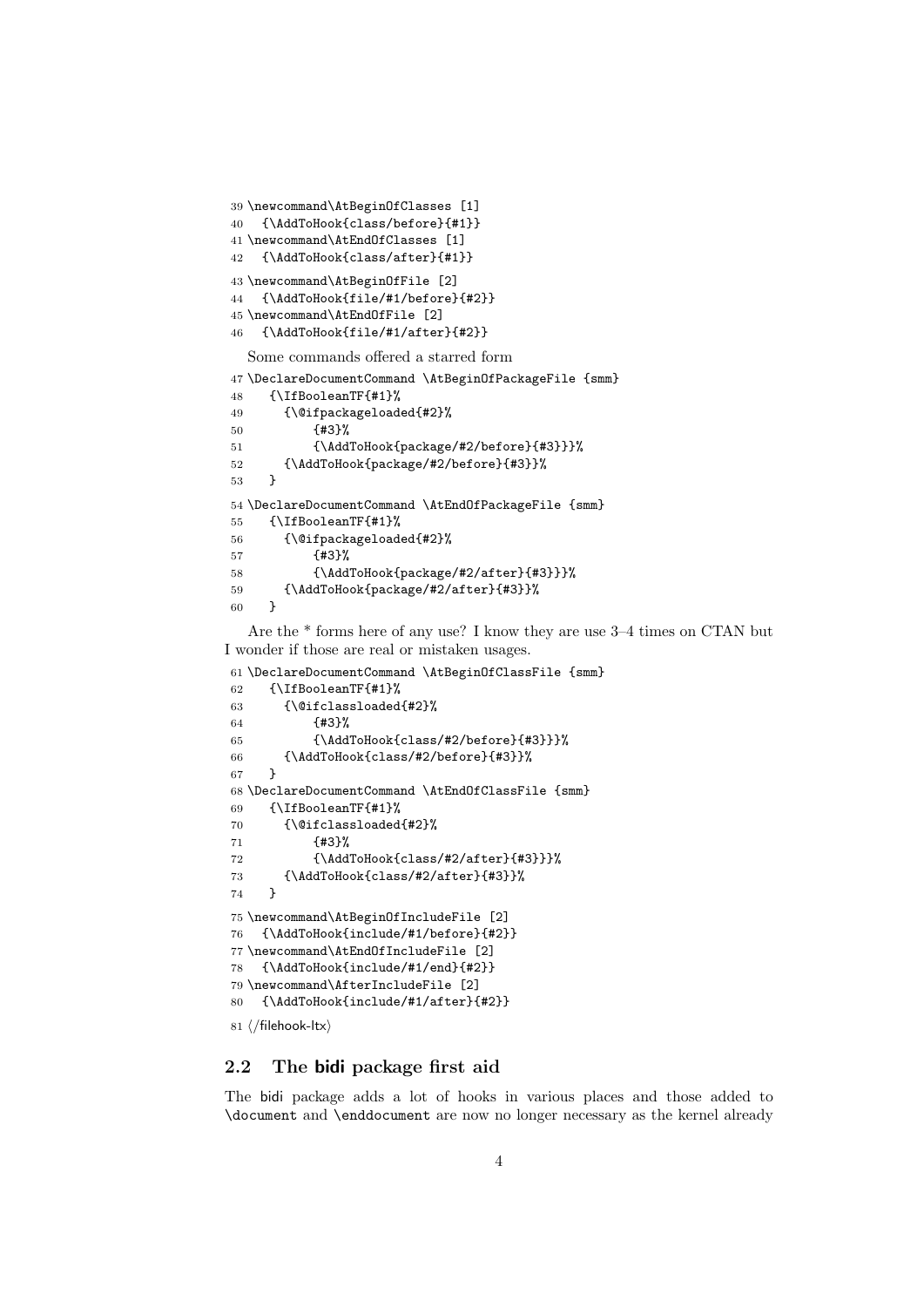```
39 \newcommand\AtBeginOfClasses [1]
40 {\AddToHook{class/before}{#1}}
41 \newcommand\AtEndOfClasses [1]
42 {\AddToHook{class/after}{#1}}
43 \newcommand\AtBeginOfFile [2]
44 {\AddToHook{file/#1/before}{#2}}
45 \newcommand\AtEndOfFile [2]
46 {\AddToHook{file/#1/after}{#2}}
  Some commands offered a starred form
47 \DeclareDocumentCommand \AtBeginOfPackageFile {smm}
48 {\IfBooleanTF{#1}%
49 {\@ifpackageloaded{#2}%
50 {#3}%
51 {\AddToHook{package/#2/before}{#3}}}%
52 {\AddToHook{package/#2/before}{#3}}%
53 }
54 \DeclareDocumentCommand \AtEndOfPackageFile {smm}
55 {\IfBooleanTF{#1}%
56 {\@ifpackageloaded{#2}%
57 {#3}%
58 {\AddToHook{package/#2/after}{#3}}}%
59 {\AddToHook{package/#2/after}{#3}}%
60 }
```
<span id="page-3-32"></span><span id="page-3-30"></span><span id="page-3-12"></span><span id="page-3-11"></span><span id="page-3-10"></span><span id="page-3-9"></span><span id="page-3-4"></span>Are the \* forms here of any use? I know they are use 3–4 times on CTAN but I wonder if those are real or mistaken usages.

```
61 \DeclareDocumentCommand \AtBeginOfClassFile {smm}
62 {\IfBooleanTF{#1}%
63 {\@ifclassloaded{#2}%
64 {#3}%
65 {\AddToHook{class/#2/before}{#3}}}%
66 {\AddToHook{class/#2/before}{#3}}%
67 }
68 \DeclareDocumentCommand \AtEndOfClassFile {smm}
69 {\IfBooleanTF{#1}%
70 {\@ifclassloaded{#2}%
71 {#3}%
72 {\AddToHook{class/#2/after}{#3}}}%
73 {\AddToHook{class/#2/after}{#3}}%
74 }
75 \newcommand\AtBeginOfIncludeFile [2]
76 {\AddToHook{include/#1/before}{#2}}
77 \newcommand\AtEndOfIncludeFile [2]
78 {\AddToHook{include/#1/end}{#2}}
79 \newcommand\AfterIncludeFile [2]
80 {\AddToHook{include/#1/after}{#2}}
81 ⟨/filehook-ltx⟩
```
### <span id="page-3-29"></span><span id="page-3-24"></span><span id="page-3-20"></span><span id="page-3-19"></span><span id="page-3-18"></span><span id="page-3-17"></span><span id="page-3-16"></span><span id="page-3-0"></span>2.2 The bidi package first aid

The bidi package adds a lot of hooks in various places and those added to \document and \enddocument are now no longer necessary as the kernel already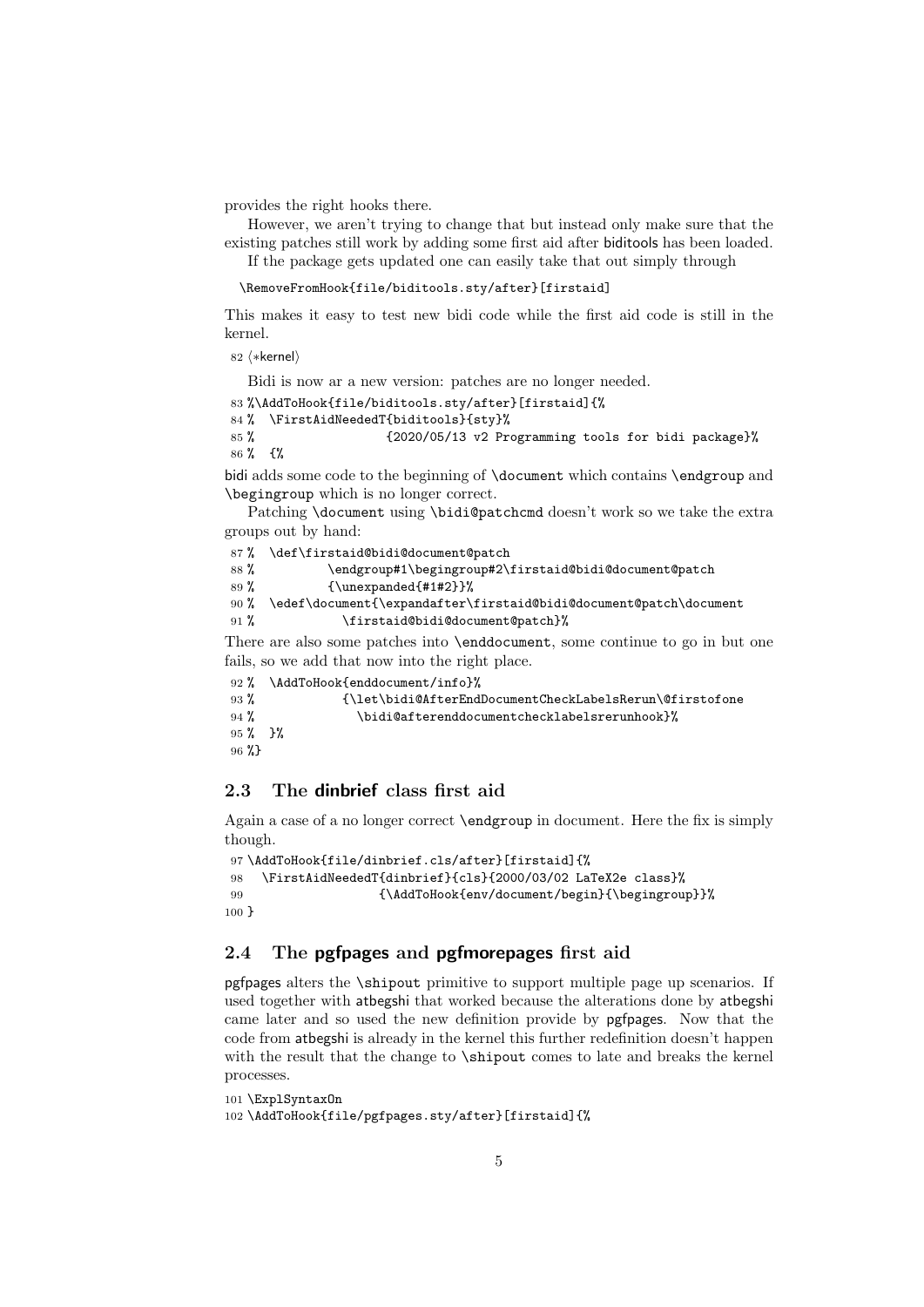provides the right hooks there.

However, we aren't trying to change that but instead only make sure that the existing patches still work by adding some first aid after biditools has been loaded.

If the package gets updated one can easily take that out simply through

```
\RemoveFromHook{file/biditools.sty/after}[firstaid]
```
This makes it easy to test new bidi code while the first aid code is still in the kernel.

```
82 ⟨∗kernel⟩
```
Bidi is now ar a new version: patches are no longer needed.

<span id="page-4-3"></span>83 %\AddToHook{file/biditools.sty/after}[firstaid]{%

```
84 % \FirstAidNeededT{biditools}{sty}%
```

```
85 % {2020/05/13 v2 Programming tools for bidi package}%
86 % {%
```
bidi adds some code to the beginning of \document which contains \endgroup and \begingroup which is no longer correct.

Patching \document using \bidi@patchcmd doesn't work so we take the extra groups out by hand:

```
87 % \def\firstaid@bidi@document@patch
88 % \endgroup#1\begingroup#2\firstaid@bidi@document@patch
89 % {\unexpanded{#1#2}}%
90 % \edef\document{\expandafter\firstaid@bidi@document@patch\document
91 % \firstaid@bidi@document@patch}%
```
<span id="page-4-13"></span><span id="page-4-11"></span>There are also some patches into \enddocument, some continue to go in but one fails, so we add that now into the right place.

```
92 % \AddToHook{enddocument/info}%
93 % {\let\bidi@AfterEndDocumentCheckLabelsRerun\@firstofone
94 % \bidi@afterenddocumentchecklabelsrerunhook}%
95 % }%
96 %}
```
## <span id="page-4-0"></span>2.3 The dinbrief class first aid

Again a case of a no longer correct \endgroup in document. Here the fix is simply though.

```
97 \AddToHook{file/dinbrief.cls/after}[firstaid]{%
98 \FirstAidNeededT{dinbrief}{cls}{2000/03/02 LaTeX2e class}%
99 {\AddToHook{env/document/begin}{\begingroup}}%
100 }
```
## <span id="page-4-1"></span>2.4 The **pgfpages** and **pgfmorepages** first aid

pgfpages alters the \shipout primitive to support multiple page up scenarios. If used together with atbegshi that worked because the alterations done by atbegshi came later and so used the new definition provide by pgfpages. Now that the code from atbegshi is already in the kernel this further redefinition doesn't happen with the result that the change to  $\lambda$  shipout comes to late and breaks the kernel processes.

```
101 \ExplSyntaxOn
102 \AddToHook{file/pgfpages.sty/after}[firstaid]{%
```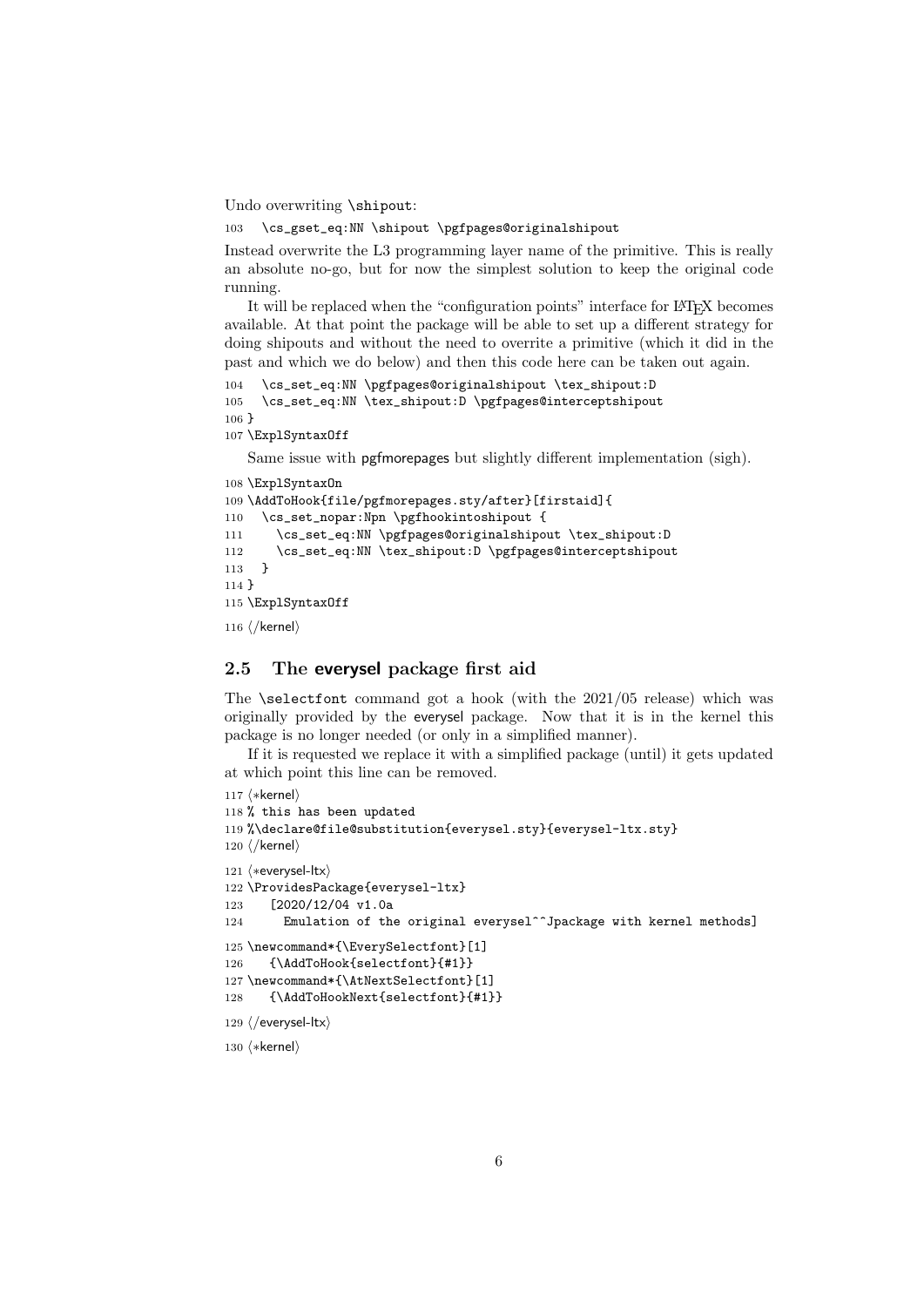Undo overwriting \shipout:

```
103 \cs_gset_eq:NN \shipout \pgfpages@originalshipout
```
Instead overwrite the L3 programming layer name of the primitive. This is really an absolute no-go, but for now the simplest solution to keep the original code running.

It will be replaced when the "configuration points" interface for LAT<sub>EX</sub> becomes available. At that point the package will be able to set up a different strategy for doing shipouts and without the need to overrite a primitive (which it did in the past and which we do below) and then this code here can be taken out again.

```
104 \cs_set_eq:NN \pgfpages@originalshipout \tex_shipout:D
105 \cs_set_eq:NN \tex_shipout:D \pgfpages@interceptshipout
106 }
```

```
107 \ExplSyntaxOff
```
Same issue with pgfmorepages but slightly different implementation (sigh).

```
108 \ExplSyntaxOn
109 \AddToHook{file/pgfmorepages.sty/after}[firstaid]{
110 \cs_set_nopar:Npn \pgfhookintoshipout {
111 \cs_set_eq:NN \pgfpages@originalshipout \tex_shipout:D
112 \cs_set_eq:NN \tex_shipout:D \pgfpages@interceptshipout
113 }
114 }
115 \ExplSyntaxOff
116 ⟨/kernel⟩
```
<span id="page-5-14"></span>

## <span id="page-5-0"></span>2.5 The everysel package first aid

The  $\setminus$  selectfont command got a hook (with the 2021/05 release) which was originally provided by the everysel package. Now that it is in the kernel this package is no longer needed (or only in a simplified manner).

If it is requested we replace it with a simplified package (until) it gets updated at which point this line can be removed.

```
117 ⟨∗kernel⟩
118 % this has been updated
119 %\declare@file@substitution{everysel.sty}{everysel-ltx.sty}
120 ⟨/kernel⟩
121 ⟨∗everysel-ltx⟩
122 \ProvidesPackage{everysel-ltx}
123 [2020/12/04 v1.0a
124 Emulation of the original everysel^^Jpackage with kernel methods]
125 \newcommand*{\EverySelectfont}[1]
126 {\AddToHook{selectfont}{#1}}
127 \newcommand*{\AtNextSelectfont}[1]
128 {\AddToHookNext{selectfont}{#1}}
129 ⟨/everysel-ltx⟩
130 ⟨∗kernel⟩
```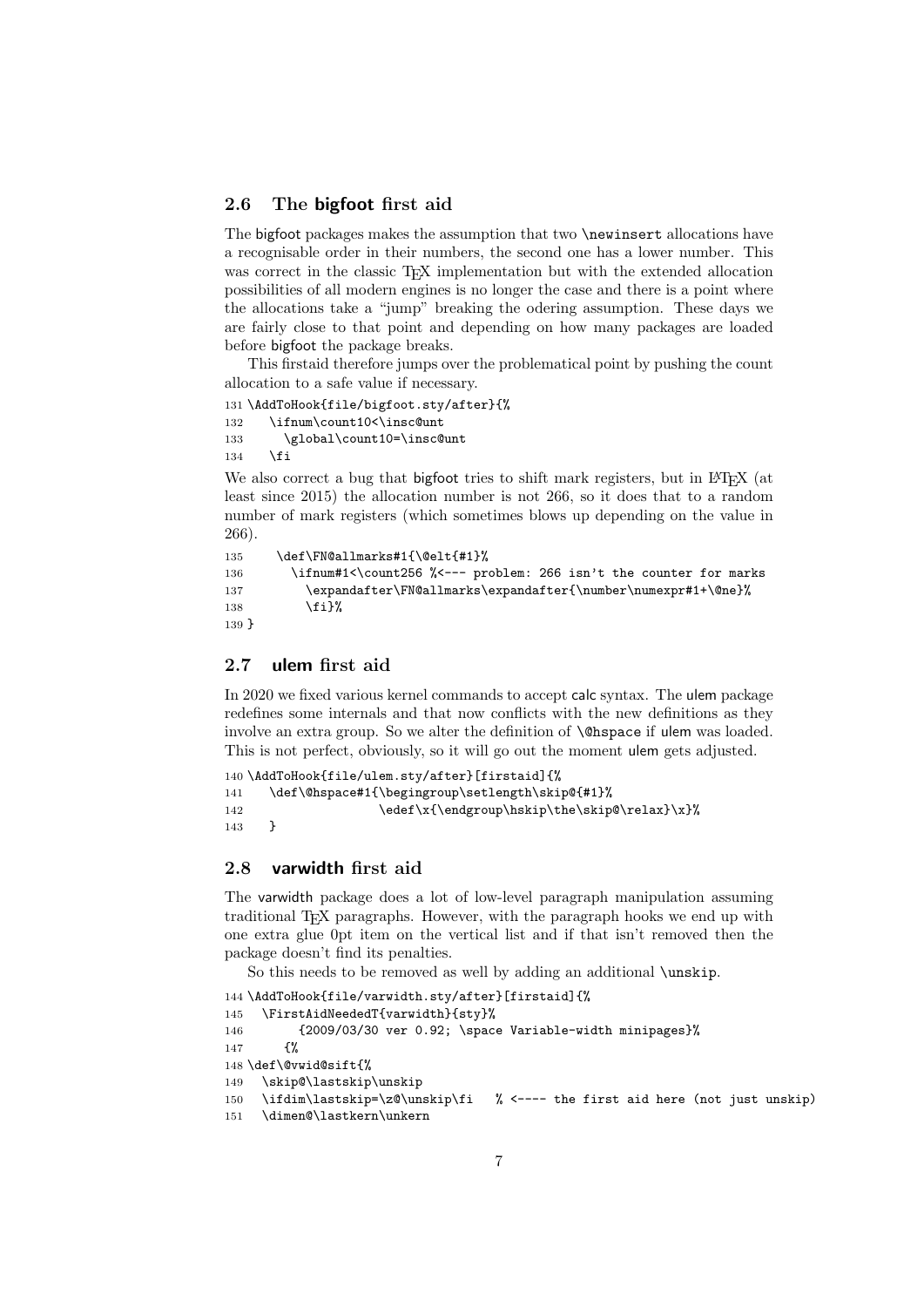#### <span id="page-6-0"></span>2.6 The bigfoot first aid

The bigfoot packages makes the assumption that two \newinsert allocations have a recognisable order in their numbers, the second one has a lower number. This was correct in the classic T<sub>E</sub>X implementation but with the extended allocation possibilities of all modern engines is no longer the case and there is a point where the allocations take a "jump" breaking the odering assumption. These days we are fairly close to that point and depending on how many packages are loaded before bigfoot the package breaks.

This firstaid therefore jumps over the problematical point by pushing the count allocation to a safe value if necessary.

```
131 \AddToHook{file/bigfoot.sty/after}{%
132 \ifnum\count10<\insc@unt
133 \global\count10=\insc@unt
134 \overrightarrow{f}
```
<span id="page-6-15"></span>We also correct a bug that bigfoot tries to shift mark registers, but in LAT<sub>E</sub>X (at least since 2015) the allocation number is not 266, so it does that to a random number of mark registers (which sometimes blows up depending on the value in 266).

```
135 \def\FN@allmarks#1{\@elt{#1}%
136 \ifnum#1<\count256 %<--- problem: 266 isn't the counter for marks
137 \expandafter\FN@allmarks\expandafter{\number\numexpr#1+\@ne}%
138 \fi}%
139 }
```
#### <span id="page-6-1"></span>2.7 ulem first aid

In 2020 we fixed various kernel commands to accept calc syntax. The ulem package redefines some internals and that now conflicts with the new definitions as they involve an extra group. So we alter the definition of \@hspace if ulem was loaded. This is not perfect, obviously, so it will go out the moment ulem gets adjusted.

```
140 \AddToHook{file/ulem.sty/after}[firstaid]{%
141 \def\@hspace#1{\begingroup\setlength\skip@{#1}%
142 \edef\x{\endgroup\hskip\the\skip@\relax}\x}%
143 }
```
#### <span id="page-6-2"></span>2.8 varwidth first aid

The varwidth package does a lot of low-level paragraph manipulation assuming traditional TEX paragraphs. However, with the paragraph hooks we end up with one extra glue 0pt item on the vertical list and if that isn't removed then the package doesn't find its penalties.

So this needs to be removed as well by adding an additional **\unskip**.

```
144 \AddToHook{file/varwidth.sty/after}[firstaid]{%
145 \FirstAidNeededT{varwidth}{sty}%
146 {2009/03/30 ver 0.92; \space Variable-width minipages}%
147 {%
148 \def\@vwid@sift{%
149 \skip@\lastskip\unskip
150 \ifdim\lastskip=\z@\unskip\fi % <---- the first aid here (not just unskip)
151 \dimen@\lastkern\unkern
```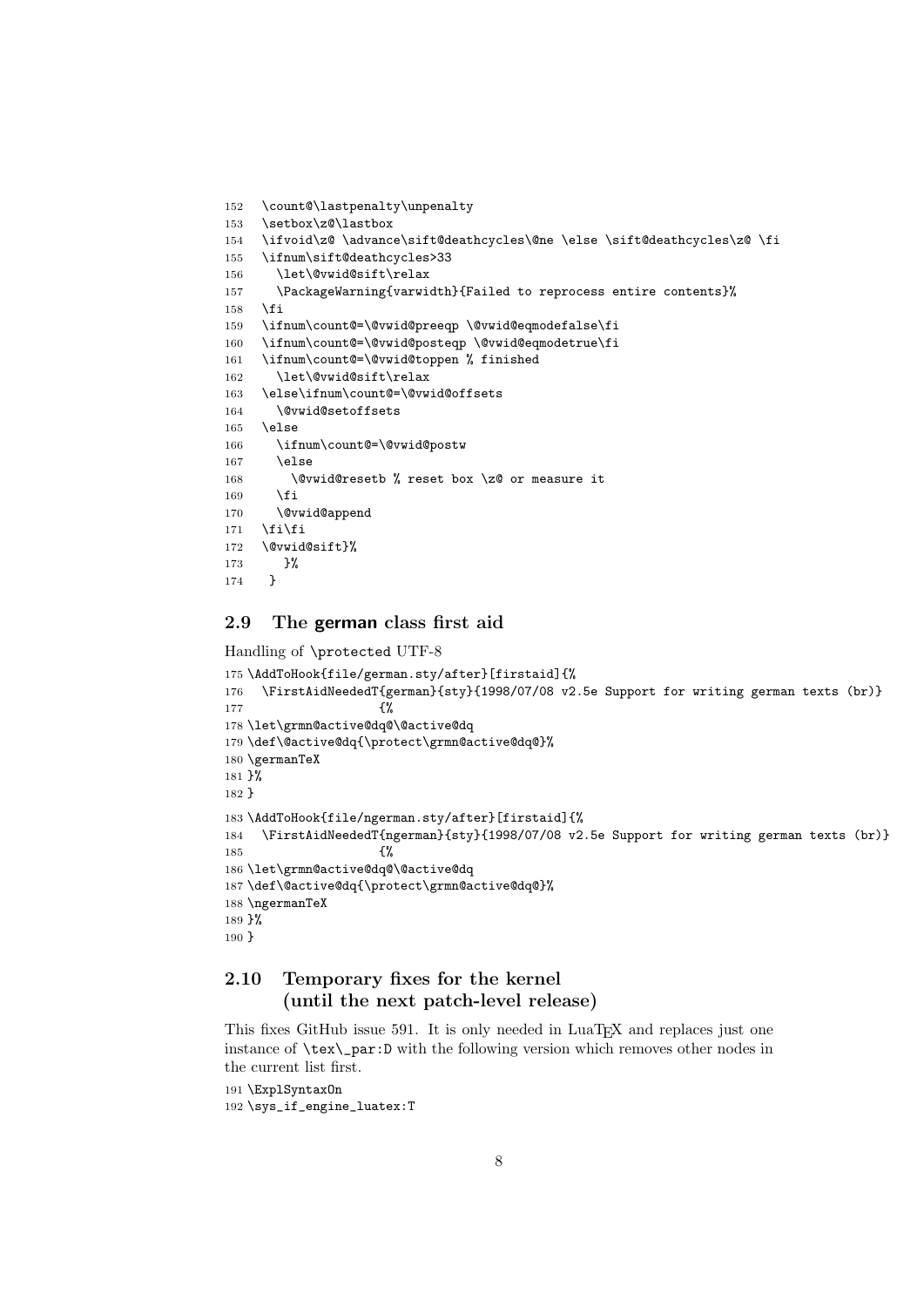```
152 \count@\lastpenalty\unpenalty
153 \setbox\z@\lastbox
154 \ifvoid\z@ \advance\sift@deathcycles\@ne \else \sift@deathcycles\z@ \fi
155 \ifnum\sift@deathcycles>33
156 \let\@vwid@sift\relax
157 \PackageWarning{varwidth}{Failed to reprocess entire contents}%
158 \fi
159 \ifnum\count@=\@vwid@preeqp \@vwid@eqmodefalse\fi
160 \ifnum\count@=\@vwid@posteqp \@vwid@eqmodetrue\fi
161 \ifnum\count@=\@vwid@toppen % finished
162 \let\@vwid@sift\relax
163 \else\ifnum\count@=\@vwid@offsets
164 \@vwid@setoffsets
165 \else
166 \ifnum\count@=\@vwid@postw
167 \else
168 \@vwid@resetb % reset box \z@ or measure it
169 \fi
170 \@vwid@append
171 \fi\fi
172 \@vwid@sift}%
173 }%
174 }
```
#### <span id="page-7-26"></span><span id="page-7-25"></span><span id="page-7-22"></span><span id="page-7-21"></span><span id="page-7-16"></span><span id="page-7-12"></span><span id="page-7-11"></span><span id="page-7-7"></span><span id="page-7-0"></span>2.9 The german class first aid

Handling of \protected UTF-8

```
175 \AddToHook{file/german.sty/after}[firstaid]{%
176 \FirstAidNeededT{german}{sty}{1998/07/08 v2.5e Support for writing german texts (br)}
177 \{%
178 \let\grmn@active@dq@\@active@dq
179 \def\@active@dq{\protect\grmn@active@dq@}%
180 \germanTeX
181 }%
182 }
183 \AddToHook{file/ngerman.sty/after}[firstaid]{%
184 \FirstAidNeededT{ngerman}{sty}{1998/07/08 v2.5e Support for writing german texts (br)}
185 \{ \%186 \let\grmn@active@dq@\@active@dq
187 \def\@active@dq{\protect\grmn@active@dq@}%
188 \ngermanTeX
189 }%
190 }
```
## <span id="page-7-32"></span><span id="page-7-28"></span><span id="page-7-5"></span><span id="page-7-4"></span><span id="page-7-1"></span>2.10 Temporary fixes for the kernel (until the next patch-level release)

This fixes GitHub issue 591. It is only needed in LuaT<sub>EX</sub> and replaces just one instance of \tex\\_par:D with the following version which removes other nodes in the current list first.

```
191 \ExplSyntaxOn
192 \sys_if_engine_luatex:T
```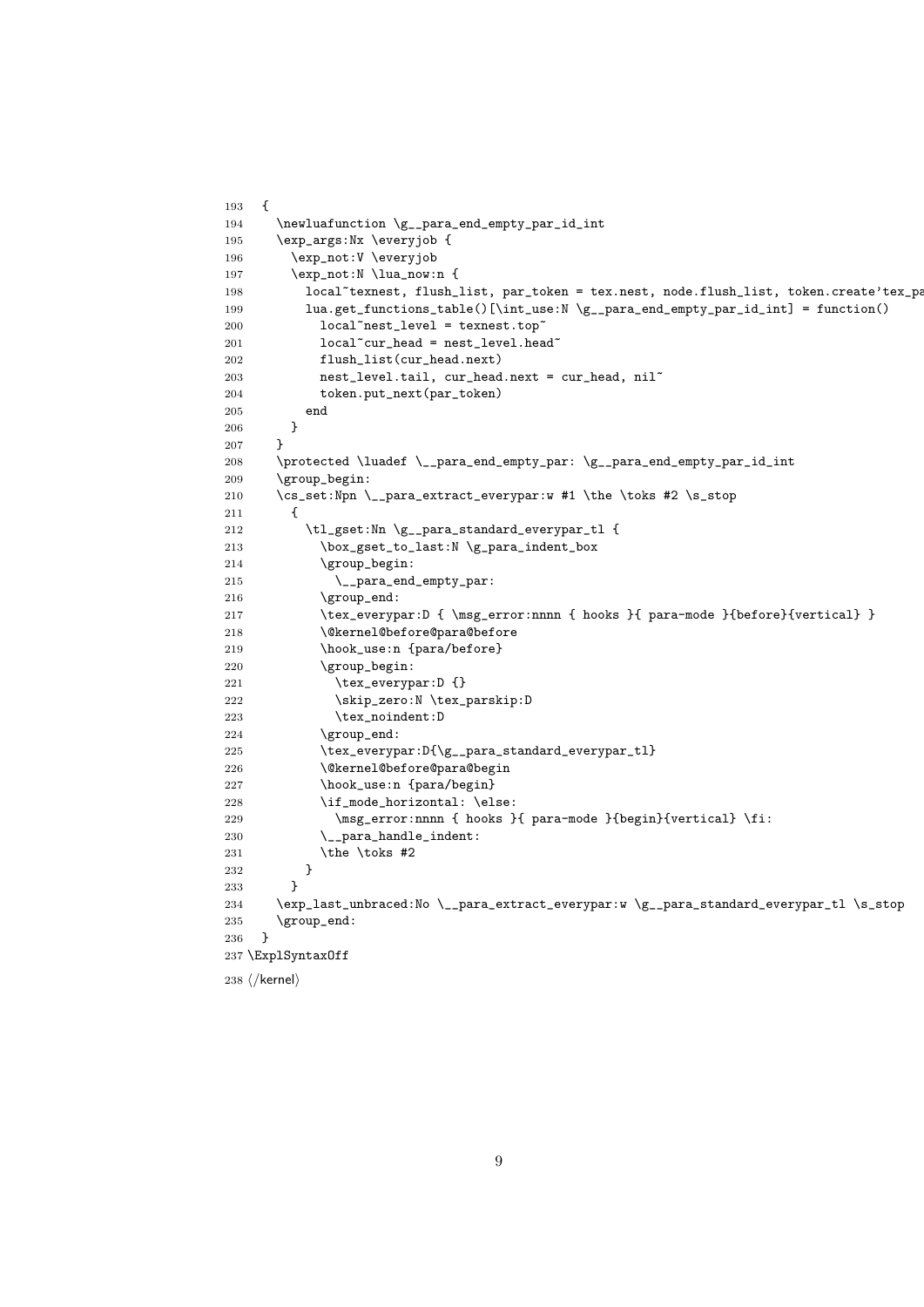```
193 {
194 \newluafunction \g__para_end_empty_par_id_int
195 \exp_args:Nx \everyjob {
196 \exp_not:V \everyjob
197 \exp_not:N \lua_now:n {
198 local~texnest, flush_list, par_token = tex.nest, node.flush_list, token.create'tex_pa
199 lua.get_functions_table()[\int_use:N \g__para_end_empty_par_id_int] = function()
200 local~nest_level = texnest.top^
201 local<sup>\text{curr}\_\text{head} = \text{nest}\_\text{level}\_\text{head}<sup>*</sup></sup>
202 flush_list(cur_head.next)
203 nest_level.tail, cur_head.next = cur_head, nil<sup>~</sup>
204 token.put_next(par_token)
205\qquad \qquad \textbf{end}206 }
207 }
208 \protected \luadef \__para_end_empty_par: \g__para_end_empty_par_id_int
209 \group_begin:
210 \cs_set:Npn \__para_extract_everypar:w #1 \the \toks #2 \s_stop
211 {
212 \tilde{L}_gset:Nn \gtrsim_para_standard_everypar_tl {
213 \box_gset_to_last:N \g_para_indent_box
214 \group_begin:
215 \_para_end_empty_par:
216 \group_end:
217 \tex_everypar:D { \msg_error:nnnn { hooks }{ para-mode }{before}{vertical} }
218 \@kernel@before@para@before
219 \hook_use:n {para/before}
220 \group_begin:
221 \tex_everypar:D {}
222 \skip_zero:N \tex_parskip:D
223 \tex_noindent:D
224 \group_end:
225 \tex_everypar:D{\g__para_standard_everypar_tl}
226 \@kernel@before@para@begin
227 \hook_use:n {para/begin}
228 \qquad \qquad \text{ \texttt{model} \texttt{horizontal: } \texttt{else:}229 \msg_error:nnnn { hooks }{ para-mode }{begin}{vertical} \fi:
230 \_para_handle_indent:
231 \the \toks #2
232 }
233 }
234 \exp_last_unbraced:No \__para_extract_everypar:w \g__para_standard_everypar_tl \s_stop
235 \group_end:
236 }
237 \ExplSyntaxOff
238 ⟨/kernel⟩
```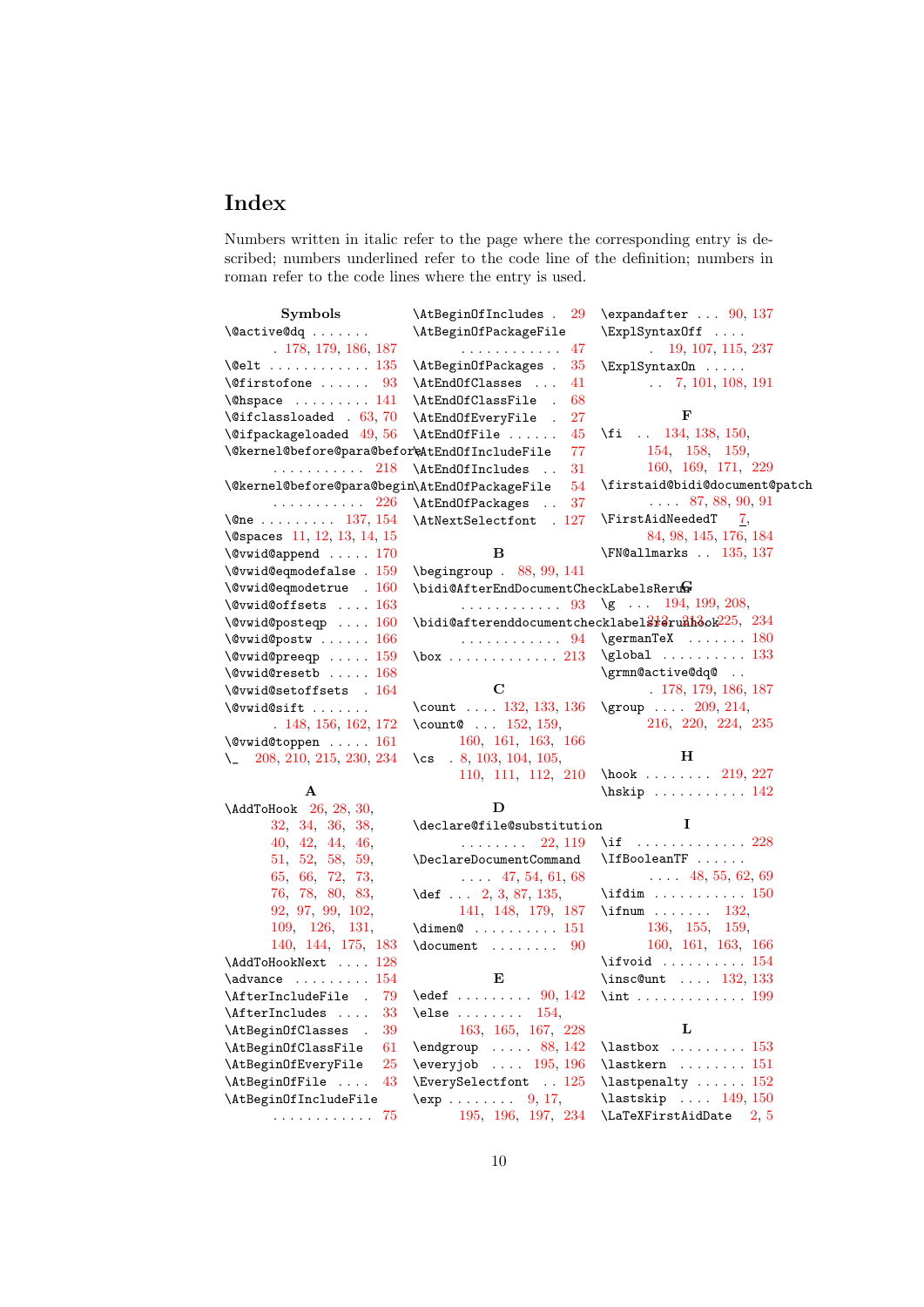# Index

Numbers written in italic refer to the page where the corresponding entry is described; numbers underlined refer to the code line of the definition; numbers in roman refer to the code lines where the entry is used.

| Symbols                                                                                                | \AtBeginOfIncludes . 29                                                                    | $\text{expandafter} \dots 90, 137$                                                                                                                                                       |
|--------------------------------------------------------------------------------------------------------|--------------------------------------------------------------------------------------------|------------------------------------------------------------------------------------------------------------------------------------------------------------------------------------------|
| $\sqrt{Q}$ active $Q$ dq                                                                               | \AtBeginOfPackageFile                                                                      | \ExplSyntaxOff                                                                                                                                                                           |
| . 178, 179, 186, 187                                                                                   | . 47                                                                                       | 19, 107, 115, 237                                                                                                                                                                        |
| $\text{\textbackslash}$ @elt $\ldots \ldots \ldots \ldots \ 135$                                       | \AtBeginOfPackages .<br>35                                                                 | $\Epsilon$ xplSyntax0n                                                                                                                                                                   |
| $\setminus$ Cfirstofone  93                                                                            | \AtEndOfClasses<br>41                                                                      | $\ldots$ 7, 101, 108, 191                                                                                                                                                                |
| $\Omega$ . $\Omega$                                                                                    | \AtEndOfClassFile .<br>68                                                                  |                                                                                                                                                                                          |
| $\text{Qifclassloaded}$ . 63, 70                                                                       | \AtEndOfEveryFile .<br>27                                                                  | F                                                                                                                                                                                        |
| $\text{Qifpackageloaded}$ 49, 56                                                                       | \AtEndOfFile<br>45                                                                         | \fi $\ldots$ 134, 138, 150,                                                                                                                                                              |
| \@kernel@before@para@befor\eAtEndOfIncludeFile                                                         | 77                                                                                         | 154, 158, 159,                                                                                                                                                                           |
| . 218                                                                                                  | \AtEndOfIncludes<br>31                                                                     | 160, 169, 171, 229                                                                                                                                                                       |
| \@kernel@before@para@begin\AtEndOfPackageFile                                                          | 54                                                                                         | \firstaid@bidi@document@patch                                                                                                                                                            |
| . 226                                                                                                  | \AtEndOfPackages<br>37                                                                     | $\ldots$ 87, 88, 90, 91                                                                                                                                                                  |
| \@ne $137, 154$                                                                                        | \AtNextSelectfont . 127                                                                    | $\forall$ FirstAidNeededT 7,                                                                                                                                                             |
| \@spaces 11, 12, 13, 14, 15                                                                            |                                                                                            | 84, 98, 145, 176, 184                                                                                                                                                                    |
| $\sqrt{Q}$ vwid@append  170                                                                            | B                                                                                          | \FN@allmarks  135, 137                                                                                                                                                                   |
| $\texttt{\textbackslash}\mathbb{Q}$ vwid@eqmodefalse . $159$                                           | $\begin{bmatrix} \begin{array}{cc} 0 & 0 \\ 0 & 0 \end{array} \end{bmatrix}$ . 88, 99, 141 |                                                                                                                                                                                          |
| $\sqrt{Q}$ vwid@eqmodetrue . 160                                                                       | \bidi@AfterEndDocumentCheckLabelsRerun                                                     |                                                                                                                                                                                          |
| $\texttt{\textbackslash}\mathbb{Q}$ vid $\texttt{\textbackslash}\mathbb{Q}$ offsets $\ldots$ 163       |                                                                                            |                                                                                                                                                                                          |
| $\sqrt{Qvwid0$ posteqp $160$                                                                           |                                                                                            | \bidi@afterenddocumentchecklabel2+2runh3ok225, 234                                                                                                                                       |
| $\texttt{\textbackslash}\mathbb{Q}$ vwid $\texttt{\textbackslash}\mathbb{Q}$ postw $\ldots\ldots\ 166$ |                                                                                            | $\ldots \ldots \ldots \quad 94$ \germanTeX $\ldots \ldots \quad 180$                                                                                                                     |
| $\sqrt{Qvwid0 preeqp}$ 159                                                                             | $\text{box} \ldots \ldots \ldots 213$                                                      | $\qquad$                                                                                                                                                                                 |
| $\sqrt{Qvwided{S}}$ resetb  168                                                                        |                                                                                            | \grmn@active@dq@                                                                                                                                                                         |
| $\sqrt{Q}$ vwid@setoffsets . 164                                                                       | C                                                                                          | .178, 179, 186, 187                                                                                                                                                                      |
| \@vwid@sift                                                                                            | \count $132, 133, 136$                                                                     | \group  209, 214,                                                                                                                                                                        |
| . 148, 156, 162, 172                                                                                   | \count0 $152, 159$ ,                                                                       | 216, 220, 224, 235                                                                                                                                                                       |
| $\sqrt{Q}$ vwid@toppen  161                                                                            | 160, 161, 163, 166                                                                         |                                                                                                                                                                                          |
| $\lambda$ 208, 210, 215, 230, 234                                                                      | $\cos$ . 8, 103, 104, 105,                                                                 | н                                                                                                                                                                                        |
|                                                                                                        | 110, 111, 112, 210                                                                         | $\text{hook} \dots \dots 219, 227$                                                                                                                                                       |
| А                                                                                                      |                                                                                            | $\hbox{\scriptsize\textsf{hskip}}\dots\dots\dots\dots 142$                                                                                                                               |
| $\lambda$ ddToHook 26, 28, 30,                                                                         | D                                                                                          |                                                                                                                                                                                          |
| 32, 34, 36, 38,                                                                                        | \declare@file@substitution                                                                 | Ι.                                                                                                                                                                                       |
| 40, 42, 44, 46,                                                                                        | $\ldots \ldots 22, 119$                                                                    | \if $\ldots \ldots \ldots 228$                                                                                                                                                           |
| 51, 52, 58, 59,                                                                                        | \DeclareDocumentCommand                                                                    | \IfBooleanTF                                                                                                                                                                             |
| 65, 66, 72, 73,                                                                                        | $\ldots$ 47, 54, 61, 68                                                                    | $\ldots$ 48, 55, 62, 69                                                                                                                                                                  |
| 76, 78, 80, 83,                                                                                        | \def  2, 3, 87, 135,                                                                       | $\left\{ \right. \left\{ \right. \left. \right. \left. \right. \left. \right. \left. \right. \left. \right. \left. \right. \left. \right. \right. \left. \right. \left. \right. \right.$ |
| 92, 97, 99, 102,                                                                                       | 141, 148, 179, 187                                                                         | $\iintnum$ 132,                                                                                                                                                                          |
| 109, 126, 131,                                                                                         | $\dim$ en@  151                                                                            | 136, 155, 159,                                                                                                                                                                           |
| 140, 144, 175, 183                                                                                     | $\d$ ocument  90                                                                           | 160, 161, 163, 166                                                                                                                                                                       |
| \AddToHookNext  128                                                                                    |                                                                                            | $\iota$ ifvoid  154                                                                                                                                                                      |
| $\lambda$ advance $\ldots \ldots \ldots 154$                                                           | Е                                                                                          | $\infty$ 132, 133                                                                                                                                                                        |
| \AfterIncludeFile .<br>79                                                                              | $\text{led}$ 90, 142                                                                       |                                                                                                                                                                                          |
| \AfterIncludes<br>33                                                                                   | $\text{else} \dots \dots \quad 154,$                                                       |                                                                                                                                                                                          |
| \AtBeginOfClasses<br>39                                                                                | 163, 165, 167, 228                                                                         | L                                                                                                                                                                                        |
| \AtBeginOfClassFile<br>61                                                                              | $\end{group}$ 88, 142                                                                      | $\lambda$ $\lambda$ 153                                                                                                                                                                  |
| \AtBeginOfEveryFile<br><b>25</b>                                                                       | $\text{everyjob} \dots 195, 196$                                                           | $\lambda$ astkern  151                                                                                                                                                                   |
| \AtBeginOfFile<br>43                                                                                   | \EverySelectfont  125                                                                      | $\lambda$ astpenalty  152                                                                                                                                                                |
| \AtBeginOfIncludeFile                                                                                  | $\exp \ldots \ldots \quad 9, 17,$                                                          | \lastskip  149, 150                                                                                                                                                                      |
| . 75                                                                                                   | 195, 196, 197, 234                                                                         | \LaTeXFirstAidDate<br>2, 5                                                                                                                                                               |